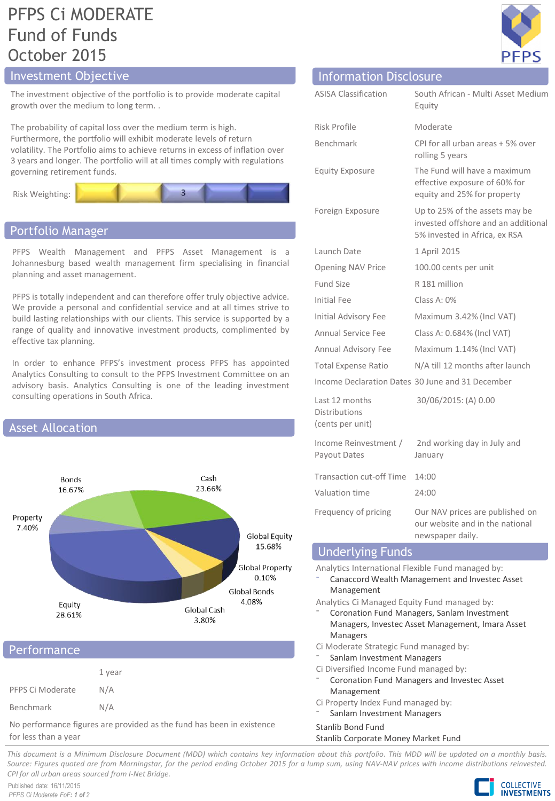# PFPS Ci MODERATE Fund of Funds October 2015

# Investment Objective **Information Disclosure**

The investment objective of the portfolio is to provide moderate capital growth over the medium to long term. .

The probability of capital loss over the medium term is high. Furthermore, the portfolio will exhibit moderate levels of return volatility. The Portfolio aims to achieve returns in excess of inflation over 3 years and longer. The portfolio will at all times comply with regulations governing retirement funds.



# Portfolio Manager

PFPS Wealth Management and PFPS Asset Management is a Johannesburg based wealth management firm specialising in financial planning and asset management.

PFPS is totally independent and can therefore offer truly objective advice. We provide a personal and confidential service and at all times strive to build lasting relationships with our clients. This service is supported by a range of quality and innovative investment products, complimented by effective tax planning.

In order to enhance PFPS's investment process PFPS has appointed Analytics Consulting to consult to the PFPS Investment Committee on an advisory basis. Analytics Consulting is one of the leading investment consulting operations in South Africa.



### **Performance**

|                  | 1 year |
|------------------|--------|
| PFPS Ci Moderate | N/A    |
| Benchmark        | N/A    |

No performance figures are provided as the fund has been in existence for less than a year



| <b>ASISA Classification</b>                                | South African - Multi Asset Medium<br>Equity                                                           |
|------------------------------------------------------------|--------------------------------------------------------------------------------------------------------|
| <b>Risk Profile</b>                                        | Moderate                                                                                               |
| Benchmark                                                  | CPI for all urban areas + 5% over<br>rolling 5 years                                                   |
| <b>Equity Exposure</b>                                     | The Fund will have a maximum<br>effective exposure of 60% for<br>equity and 25% for property           |
| Foreign Exposure                                           | Up to 25% of the assets may be<br>invested offshore and an additional<br>5% invested in Africa, ex RSA |
| Launch Date                                                | 1 April 2015                                                                                           |
| Opening NAV Price                                          | 100.00 cents per unit                                                                                  |
| <b>Fund Size</b>                                           | R 181 million                                                                                          |
| <b>Initial Fee</b>                                         | Class A: 0%                                                                                            |
| Initial Advisory Fee                                       | Maximum 3.42% (Incl VAT)                                                                               |
| <b>Annual Service Fee</b>                                  | Class A: 0.684% (Incl VAT)                                                                             |
| <b>Annual Advisory Fee</b>                                 | Maximum 1.14% (Incl VAT)                                                                               |
| <b>Total Expense Ratio</b>                                 | N/A till 12 months after launch                                                                        |
|                                                            | Income Declaration Dates 30 June and 31 December                                                       |
| Last 12 months<br><b>Distributions</b><br>(cents per unit) | 30/06/2015: (A) 0.00                                                                                   |
| Income Reinvestment /<br>Payout Dates                      | 2nd working day in July and<br>January                                                                 |
| <b>Transaction cut-off Time</b>                            | 14:00                                                                                                  |
| Valuation time                                             | 24:00                                                                                                  |
| Frequency of pricing<br>$\sim 10$                          | Our NAV prices are published on<br>our website and in the national<br>newspaper daily.                 |

## Underlying Funds

Analytics International Flexible Fund managed by:

⁻ Canaccord Wealth Management and Investec Asset Management

Analytics Ci Managed Equity Fund managed by:

- ⁻ Coronation Fund Managers, Sanlam Investment Managers, Investec Asset Management, Imara Asset Managers
- Ci Moderate Strategic Fund managed by:
- Sanlam Investment Managers
- Ci Diversified Income Fund managed by:
- ⁻ Coronation Fund Managers and Investec Asset Management
- Ci Property Index Fund managed by:
- Sanlam Investment Managers

#### Stanlib Bond Fund

#### Stanlib Corporate Money Market Fund

This document is a Minimum Disclosure Document (MDD) which contains key information about this portfolio. This MDD will be updated on a monthly basis. Source: Figures guoted are from Morningstar, for the period ending October 2015 for a lump sum, using NAV-NAV prices with income distributions reinvested. *CPI for all urban areas sourced from I-Net Bridge.*